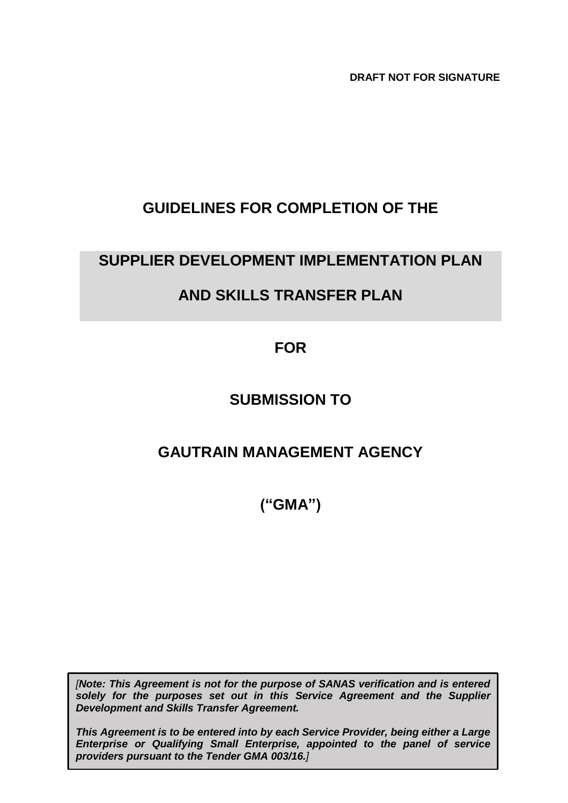**DRAFT NOT FOR SIGNATURE**

# **GUIDELINES FOR COMPLETION OF THE**

# **SUPPLIER DEVELOPMENT IMPLEMENTATION PLAN**

# **AND SKILLS TRANSFER PLAN**

**FOR** 

# **SUBMISSION TO**

# **GAUTRAIN MANAGEMENT AGENCY**

**("GMA")**

*[Note: This Agreement is not for the purpose of SANAS verification and is entered solely for the purposes set out in this Service Agreement and the Supplier Development and Skills Transfer Agreement.*

*This Agreement is to be entered into by each Service Provider, being either a Large Enterprise or Qualifying Small Enterprise, appointed to the panel of service providers pursuant to the Tender GMA 003/16.]*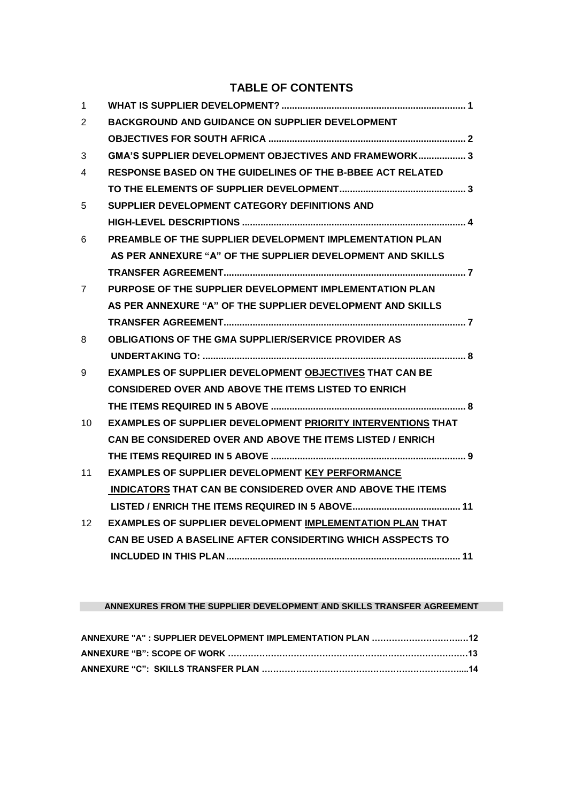### **TABLE OF CONTENTS**

| $\mathbf{1}$    |                                                                     |
|-----------------|---------------------------------------------------------------------|
| 2               | <b>BACKGROUND AND GUIDANCE ON SUPPLIER DEVELOPMENT</b>              |
|                 |                                                                     |
| 3               | GMA'S SUPPLIER DEVELOPMENT OBJECTIVES AND FRAMEWORK 3               |
| 4               | <b>RESPONSE BASED ON THE GUIDELINES OF THE B-BBEE ACT RELATED</b>   |
|                 |                                                                     |
| 5               | SUPPLIER DEVELOPMENT CATEGORY DEFINITIONS AND                       |
|                 |                                                                     |
| 6               | PREAMBLE OF THE SUPPLIER DEVELOPMENT IMPLEMENTATION PLAN            |
|                 | AS PER ANNEXURE "A" OF THE SUPPLIER DEVELOPMENT AND SKILLS          |
|                 |                                                                     |
| $\overline{7}$  | PURPOSE OF THE SUPPLIER DEVELOPMENT IMPLEMENTATION PLAN             |
|                 | AS PER ANNEXURE "A" OF THE SUPPLIER DEVELOPMENT AND SKILLS          |
|                 |                                                                     |
| 8               | <b>OBLIGATIONS OF THE GMA SUPPLIER/SERVICE PROVIDER AS</b>          |
|                 |                                                                     |
| 9               | <b>EXAMPLES OF SUPPLIER DEVELOPMENT OBJECTIVES THAT CAN BE</b>      |
|                 | <b>CONSIDERED OVER AND ABOVE THE ITEMS LISTED TO ENRICH</b>         |
|                 |                                                                     |
| 10              | <b>EXAMPLES OF SUPPLIER DEVELOPMENT PRIORITY INTERVENTIONS THAT</b> |
|                 | CAN BE CONSIDERED OVER AND ABOVE THE ITEMS LISTED / ENRICH          |
|                 |                                                                     |
| 11              | <b>EXAMPLES OF SUPPLIER DEVELOPMENT KEY PERFORMANCE</b>             |
|                 | <b>INDICATORS THAT CAN BE CONSIDERED OVER AND ABOVE THE ITEMS</b>   |
|                 |                                                                     |
| 12 <sup>°</sup> | <b>EXAMPLES OF SUPPLIER DEVELOPMENT IMPLEMENTATION PLAN THAT</b>    |
|                 | <b>CAN BE USED A BASELINE AFTER CONSIDERTING WHICH ASSPECTS TO</b>  |
|                 |                                                                     |

#### **ANNEXURES FROM THE SUPPLIER DEVELOPMENT AND SKILLS TRANSFER AGREEMENT**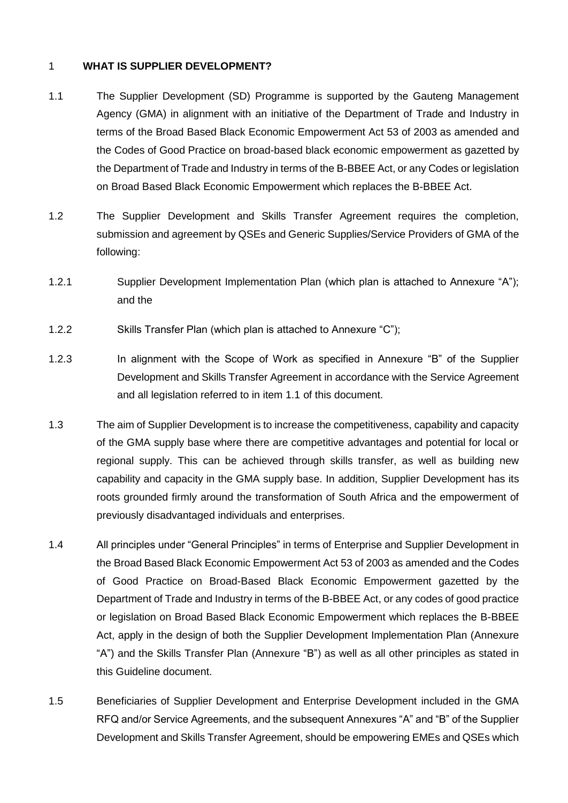#### 1 **WHAT IS SUPPLIER DEVELOPMENT?**

- 1.1 The Supplier Development (SD) Programme is supported by the Gauteng Management Agency (GMA) in alignment with an initiative of the Department of Trade and Industry in terms of the Broad Based Black Economic Empowerment Act 53 of 2003 as amended and the Codes of Good Practice on broad-based black economic empowerment as gazetted by the Department of Trade and Industry in terms of the B-BBEE Act, or any Codes or legislation on Broad Based Black Economic Empowerment which replaces the B-BBEE Act.
- 1.2 The Supplier Development and Skills Transfer Agreement requires the completion, submission and agreement by QSEs and Generic Supplies/Service Providers of GMA of the following:
- 1.2.1 Supplier Development Implementation Plan (which plan is attached to Annexure "A"); and the
- 1.2.2 Skills Transfer Plan (which plan is attached to Annexure "C");
- 1.2.3 In alignment with the Scope of Work as specified in Annexure "B" of the Supplier Development and Skills Transfer Agreement in accordance with the Service Agreement and all legislation referred to in item 1.1 of this document.
- 1.3 The aim of Supplier Development is to increase the competitiveness, capability and capacity of the GMA supply base where there are competitive advantages and potential for local or regional supply. This can be achieved through skills transfer, as well as building new capability and capacity in the GMA supply base. In addition, Supplier Development has its roots grounded firmly around the transformation of South Africa and the empowerment of previously disadvantaged individuals and enterprises.
- 1.4 All principles under "General Principles" in terms of Enterprise and Supplier Development in the Broad Based Black Economic Empowerment Act 53 of 2003 as amended and the Codes of Good Practice on Broad-Based Black Economic Empowerment gazetted by the Department of Trade and Industry in terms of the B-BBEE Act, or any codes of good practice or legislation on Broad Based Black Economic Empowerment which replaces the B-BBEE Act, apply in the design of both the Supplier Development Implementation Plan (Annexure "A") and the Skills Transfer Plan (Annexure "B") as well as all other principles as stated in this Guideline document.
- 1.5 Beneficiaries of Supplier Development and Enterprise Development included in the GMA RFQ and/or Service Agreements, and the subsequent Annexures "A" and "B" of the Supplier Development and Skills Transfer Agreement, should be empowering EMEs and QSEs which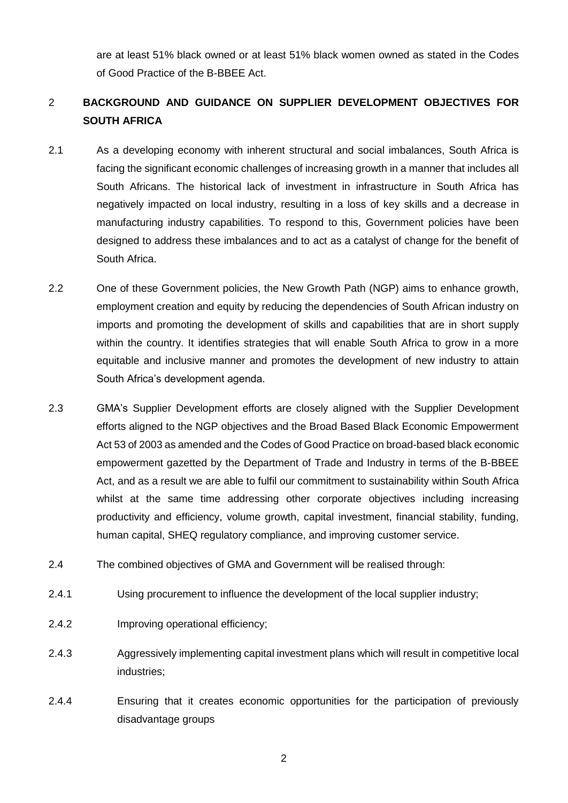are at least 51% black owned or at least 51% black women owned as stated in the Codes of Good Practice of the B-BBEE Act.

## 2 **BACKGROUND AND GUIDANCE ON SUPPLIER DEVELOPMENT OBJECTIVES FOR SOUTH AFRICA**

- 2.1 As a developing economy with inherent structural and social imbalances, South Africa is facing the significant economic challenges of increasing growth in a manner that includes all South Africans. The historical lack of investment in infrastructure in South Africa has negatively impacted on local industry, resulting in a loss of key skills and a decrease in manufacturing industry capabilities. To respond to this, Government policies have been designed to address these imbalances and to act as a catalyst of change for the benefit of South Africa.
- 2.2 One of these Government policies, the New Growth Path (NGP) aims to enhance growth, employment creation and equity by reducing the dependencies of South African industry on imports and promoting the development of skills and capabilities that are in short supply within the country. It identifies strategies that will enable South Africa to grow in a more equitable and inclusive manner and promotes the development of new industry to attain South Africa's development agenda.
- 2.3 GMA's Supplier Development efforts are closely aligned with the Supplier Development efforts aligned to the NGP objectives and the Broad Based Black Economic Empowerment Act 53 of 2003 as amended and the Codes of Good Practice on broad-based black economic empowerment gazetted by the Department of Trade and Industry in terms of the B-BBEE Act, and as a result we are able to fulfil our commitment to sustainability within South Africa whilst at the same time addressing other corporate objectives including increasing productivity and efficiency, volume growth, capital investment, financial stability, funding, human capital, SHEQ regulatory compliance, and improving customer service.
- 2.4 The combined objectives of GMA and Government will be realised through:
- 2.4.1 Using procurement to influence the development of the local supplier industry;
- 2.4.2 Improving operational efficiency;
- 2.4.3 Aggressively implementing capital investment plans which will result in competitive local industries;
- 2.4.4 Ensuring that it creates economic opportunities for the participation of previously disadvantage groups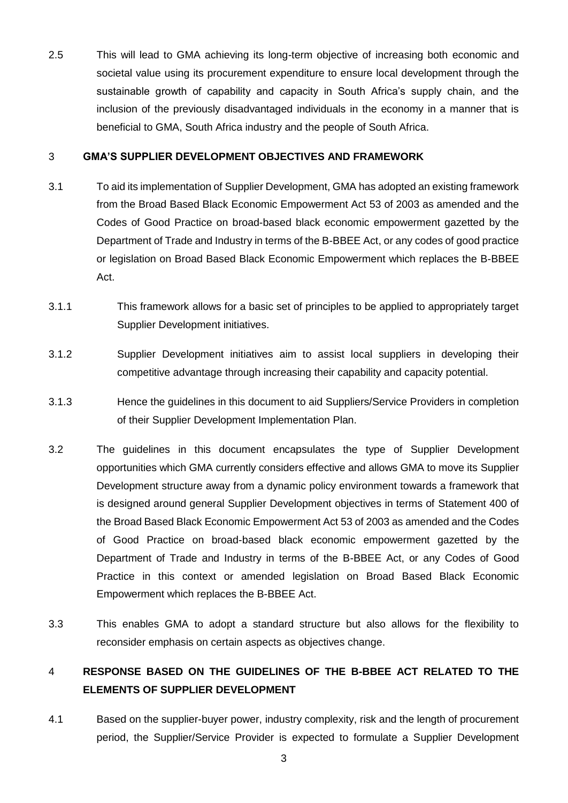2.5 This will lead to GMA achieving its long-term objective of increasing both economic and societal value using its procurement expenditure to ensure local development through the sustainable growth of capability and capacity in South Africa's supply chain, and the inclusion of the previously disadvantaged individuals in the economy in a manner that is beneficial to GMA, South Africa industry and the people of South Africa.

#### 3 **GMA'S SUPPLIER DEVELOPMENT OBJECTIVES AND FRAMEWORK**

- 3.1 To aid its implementation of Supplier Development, GMA has adopted an existing framework from the Broad Based Black Economic Empowerment Act 53 of 2003 as amended and the Codes of Good Practice on broad-based black economic empowerment gazetted by the Department of Trade and Industry in terms of the B-BBEE Act, or any codes of good practice or legislation on Broad Based Black Economic Empowerment which replaces the B-BBEE Act.
- 3.1.1 This framework allows for a basic set of principles to be applied to appropriately target Supplier Development initiatives.
- 3.1.2 Supplier Development initiatives aim to assist local suppliers in developing their competitive advantage through increasing their capability and capacity potential.
- 3.1.3 Hence the guidelines in this document to aid Suppliers/Service Providers in completion of their Supplier Development Implementation Plan.
- 3.2 The guidelines in this document encapsulates the type of Supplier Development opportunities which GMA currently considers effective and allows GMA to move its Supplier Development structure away from a dynamic policy environment towards a framework that is designed around general Supplier Development objectives in terms of Statement 400 of the Broad Based Black Economic Empowerment Act 53 of 2003 as amended and the Codes of Good Practice on broad-based black economic empowerment gazetted by the Department of Trade and Industry in terms of the B-BBEE Act, or any Codes of Good Practice in this context or amended legislation on Broad Based Black Economic Empowerment which replaces the B-BBEE Act.
- 3.3 This enables GMA to adopt a standard structure but also allows for the flexibility to reconsider emphasis on certain aspects as objectives change.

## 4 **RESPONSE BASED ON THE GUIDELINES OF THE B-BBEE ACT RELATED TO THE ELEMENTS OF SUPPLIER DEVELOPMENT**

4.1 Based on the supplier-buyer power, industry complexity, risk and the length of procurement period, the Supplier/Service Provider is expected to formulate a Supplier Development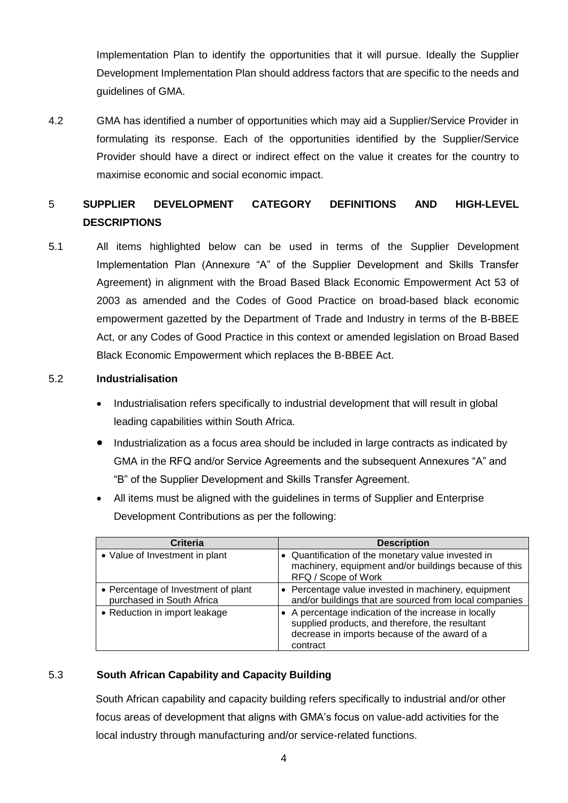Implementation Plan to identify the opportunities that it will pursue. Ideally the Supplier Development Implementation Plan should address factors that are specific to the needs and guidelines of GMA.

4.2 GMA has identified a number of opportunities which may aid a Supplier/Service Provider in formulating its response. Each of the opportunities identified by the Supplier/Service Provider should have a direct or indirect effect on the value it creates for the country to maximise economic and social economic impact.

## 5 **SUPPLIER DEVELOPMENT CATEGORY DEFINITIONS AND HIGH-LEVEL DESCRIPTIONS**

5.1 All items highlighted below can be used in terms of the Supplier Development Implementation Plan (Annexure "A" of the Supplier Development and Skills Transfer Agreement) in alignment with the Broad Based Black Economic Empowerment Act 53 of 2003 as amended and the Codes of Good Practice on broad-based black economic empowerment gazetted by the Department of Trade and Industry in terms of the B-BBEE Act, or any Codes of Good Practice in this context or amended legislation on Broad Based Black Economic Empowerment which replaces the B-BBEE Act.

#### 5.2 **Industrialisation**

- Industrialisation refers specifically to industrial development that will result in global leading capabilities within South Africa.
- Industrialization as a focus area should be included in large contracts as indicated by GMA in the RFQ and/or Service Agreements and the subsequent Annexures "A" and "B" of the Supplier Development and Skills Transfer Agreement.
- All items must be aligned with the guidelines in terms of Supplier and Enterprise Development Contributions as per the following:

| <b>Criteria</b>                                                  | <b>Description</b>                                                                                                                                                   |
|------------------------------------------------------------------|----------------------------------------------------------------------------------------------------------------------------------------------------------------------|
| • Value of Investment in plant                                   | • Quantification of the monetary value invested in<br>machinery, equipment and/or buildings because of this<br>RFQ / Scope of Work                                   |
| • Percentage of Investment of plant<br>purchased in South Africa | • Percentage value invested in machinery, equipment<br>and/or buildings that are sourced from local companies                                                        |
| • Reduction in import leakage                                    | • A percentage indication of the increase in locally<br>supplied products, and therefore, the resultant<br>decrease in imports because of the award of a<br>contract |

### 5.3 **South African Capability and Capacity Building**

South African capability and capacity building refers specifically to industrial and/or other focus areas of development that aligns with GMA's focus on value-add activities for the local industry through manufacturing and/or service-related functions.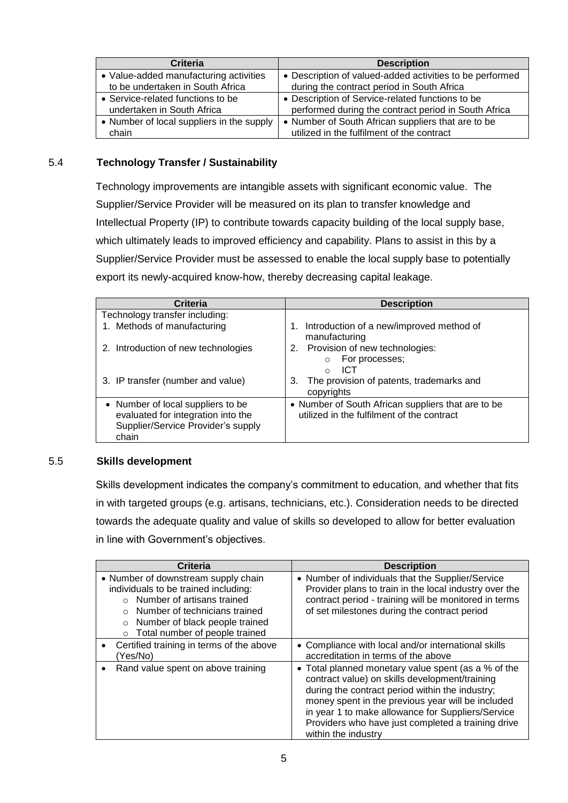| <b>Criteria</b>                           | <b>Description</b>                                       |
|-------------------------------------------|----------------------------------------------------------|
| • Value-added manufacturing activities    | • Description of valued-added activities to be performed |
| to be undertaken in South Africa          | during the contract period in South Africa               |
| • Service-related functions to be         | • Description of Service-related functions to be         |
| undertaken in South Africa                | performed during the contract period in South Africa     |
| • Number of local suppliers in the supply | • Number of South African suppliers that are to be       |
| chain                                     | utilized in the fulfilment of the contract               |

#### 5.4 **Technology Transfer / Sustainability**

Technology improvements are intangible assets with significant economic value. The Supplier/Service Provider will be measured on its plan to transfer knowledge and Intellectual Property (IP) to contribute towards capacity building of the local supply base, which ultimately leads to improved efficiency and capability. Plans to assist in this by a Supplier/Service Provider must be assessed to enable the local supply base to potentially export its newly-acquired know-how, thereby decreasing capital leakage.

| Criteria                                                                                                               | <b>Description</b>                                                                               |
|------------------------------------------------------------------------------------------------------------------------|--------------------------------------------------------------------------------------------------|
| Technology transfer including:                                                                                         |                                                                                                  |
| 1. Methods of manufacturing                                                                                            | Introduction of a new/improved method of<br>manufacturing                                        |
| 2. Introduction of new technologies                                                                                    | 2. Provision of new technologies:<br>For processes;<br>ICT<br>$\cap$                             |
| 3. IP transfer (number and value)                                                                                      | The provision of patents, trademarks and<br>3.<br>copyrights                                     |
| • Number of local suppliers to be<br>evaluated for integration into the<br>Supplier/Service Provider's supply<br>chain | • Number of South African suppliers that are to be<br>utilized in the fulfilment of the contract |

#### 5.5 **Skills development**

Skills development indicates the company's commitment to education, and whether that fits in with targeted groups (e.g. artisans, technicians, etc.). Consideration needs to be directed towards the adequate quality and value of skills so developed to allow for better evaluation in line with Government's objectives.

| <b>Criteria</b>                                                                                                                                                                                                                                      | <b>Description</b>                                                                                                                                                                                                                                                                                                                              |
|------------------------------------------------------------------------------------------------------------------------------------------------------------------------------------------------------------------------------------------------------|-------------------------------------------------------------------------------------------------------------------------------------------------------------------------------------------------------------------------------------------------------------------------------------------------------------------------------------------------|
| • Number of downstream supply chain<br>individuals to be trained including:<br>$\circ$ Number of artisans trained<br>$\circ$ Number of technicians trained<br>Number of black people trained<br>$\circ$<br>Total number of people trained<br>$\circ$ | • Number of individuals that the Supplier/Service<br>Provider plans to train in the local industry over the<br>contract period - training will be monitored in terms<br>of set milestones during the contract period                                                                                                                            |
| Certified training in terms of the above<br>(Yes/No)                                                                                                                                                                                                 | • Compliance with local and/or international skills<br>accreditation in terms of the above                                                                                                                                                                                                                                                      |
| Rand value spent on above training                                                                                                                                                                                                                   | • Total planned monetary value spent (as a % of the<br>contract value) on skills development/training<br>during the contract period within the industry;<br>money spent in the previous year will be included<br>in year 1 to make allowance for Suppliers/Service<br>Providers who have just completed a training drive<br>within the industry |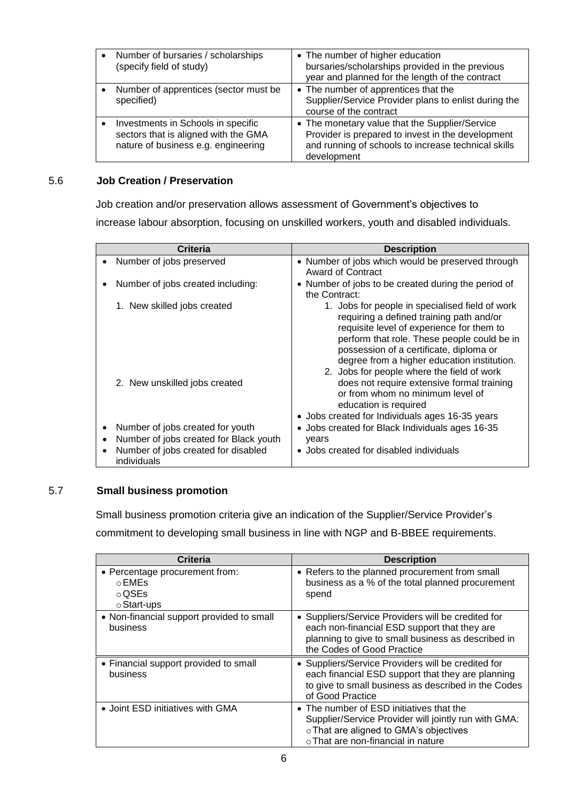| Number of bursaries / scholarships                  | • The number of higher education                                                                                       |
|-----------------------------------------------------|------------------------------------------------------------------------------------------------------------------------|
| $\bullet$                                           | bursaries/scholarships provided in the previous                                                                        |
| (specify field of study)                            | year and planned for the length of the contract                                                                        |
| Number of apprentices (sector must be<br>specified) | • The number of apprentices that the<br>Supplier/Service Provider plans to enlist during the<br>course of the contract |
| Investments in Schools in specific                  | • The monetary value that the Supplier/Service                                                                         |
| $\bullet$                                           | Provider is prepared to invest in the development                                                                      |
| sectors that is aligned with the GMA                | and running of schools to increase technical skills                                                                    |
| nature of business e.g. engineering                 | development                                                                                                            |

#### 5.6 **Job Creation / Preservation**

Job creation and/or preservation allows assessment of Government's objectives to increase labour absorption, focusing on unskilled workers, youth and disabled individuals.

| Criteria  |                                                    | <b>Description</b>                                                                                                                                                                                                                                                                                                              |  |
|-----------|----------------------------------------------------|---------------------------------------------------------------------------------------------------------------------------------------------------------------------------------------------------------------------------------------------------------------------------------------------------------------------------------|--|
| ٠         | Number of jobs preserved                           | • Number of jobs which would be preserved through<br>Award of Contract                                                                                                                                                                                                                                                          |  |
| ٠         | Number of jobs created including:                  | • Number of jobs to be created during the period of<br>the Contract:                                                                                                                                                                                                                                                            |  |
|           | 1. New skilled jobs created                        | 1. Jobs for people in specialised field of work<br>requiring a defined training path and/or<br>requisite level of experience for them to<br>perform that role. These people could be in<br>possession of a certificate, diploma or<br>degree from a higher education institution.<br>2. Jobs for people where the field of work |  |
|           | 2. New unskilled jobs created                      | does not require extensive formal training<br>or from whom no minimum level of<br>education is required<br>• Jobs created for Individuals ages 16-35 years                                                                                                                                                                      |  |
|           | Number of jobs created for youth                   | • Jobs created for Black Individuals ages 16-35                                                                                                                                                                                                                                                                                 |  |
| $\bullet$ | Number of jobs created for Black youth             | years                                                                                                                                                                                                                                                                                                                           |  |
| $\bullet$ | Number of jobs created for disabled<br>individuals | • Jobs created for disabled individuals                                                                                                                                                                                                                                                                                         |  |

#### 5.7 **Small business promotion**

Small business promotion criteria give an indication of the Supplier/Service Provider's commitment to developing small business in line with NGP and B-BBEE requirements.

| Criteria                                                                      | <b>Description</b>                                                                                                                                                                     |
|-------------------------------------------------------------------------------|----------------------------------------------------------------------------------------------------------------------------------------------------------------------------------------|
| • Percentage procurement from:<br>$\circ$ EMEs<br>$\circ$ QSEs<br>○ Start-ups | • Refers to the planned procurement from small<br>business as a % of the total planned procurement<br>spend                                                                            |
| • Non-financial support provided to small<br>business                         | • Suppliers/Service Providers will be credited for<br>each non-financial ESD support that they are<br>planning to give to small business as described in<br>the Codes of Good Practice |
| • Financial support provided to small<br>business                             | • Suppliers/Service Providers will be credited for<br>each financial ESD support that they are planning<br>to give to small business as described in the Codes<br>of Good Practice     |
| • Joint ESD initiatives with GMA                                              | • The number of ESD initiatives that the<br>Supplier/Service Provider will jointly run with GMA:<br>o That are aligned to GMA's objectives<br>o That are non-financial in nature       |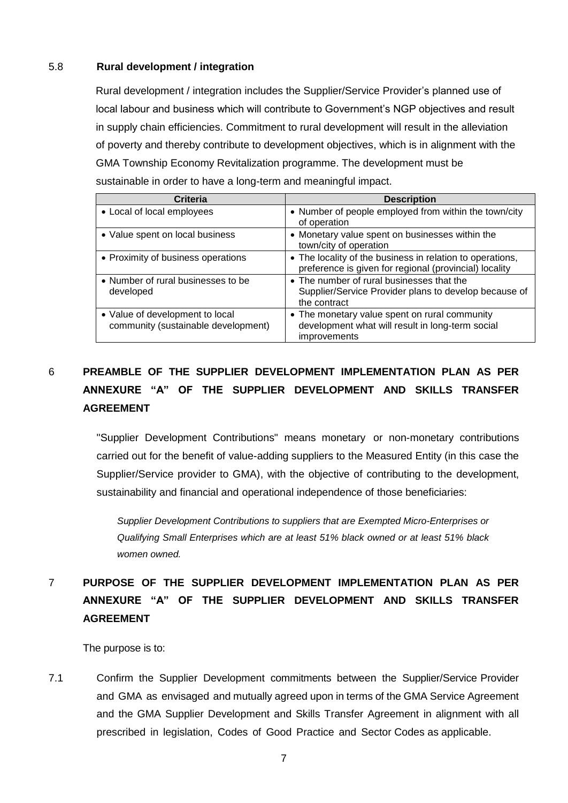#### 5.8 **Rural development / integration**

Rural development / integration includes the Supplier/Service Provider's planned use of local labour and business which will contribute to Government's NGP objectives and result in supply chain efficiencies. Commitment to rural development will result in the alleviation of poverty and thereby contribute to development objectives, which is in alignment with the GMA Township Economy Revitalization programme. The development must be sustainable in order to have a long-term and meaningful impact.

| Criteria                                                               | <b>Description</b>                                                                                                       |
|------------------------------------------------------------------------|--------------------------------------------------------------------------------------------------------------------------|
| • Local of local employees                                             | • Number of people employed from within the town/city<br>of operation                                                    |
| • Value spent on local business                                        | • Monetary value spent on businesses within the<br>town/city of operation                                                |
| • Proximity of business operations                                     | • The locality of the business in relation to operations,<br>preference is given for regional (provincial) locality      |
| • Number of rural businesses to be<br>developed                        | • The number of rural businesses that the<br>Supplier/Service Provider plans to develop because of<br>the contract       |
| • Value of development to local<br>community (sustainable development) | • The monetary value spent on rural community<br>development what will result in long-term social<br><i>improvements</i> |

## 6 **PREAMBLE OF THE SUPPLIER DEVELOPMENT IMPLEMENTATION PLAN AS PER ANNEXURE "A" OF THE SUPPLIER DEVELOPMENT AND SKILLS TRANSFER AGREEMENT**

"Supplier Development Contributions" means monetary or non-monetary contributions carried out for the benefit of value-adding suppliers to the Measured Entity (in this case the Supplier/Service provider to GMA), with the objective of contributing to the development, sustainability and financial and operational independence of those beneficiaries:

*Supplier Development Contributions to suppliers that are Exempted Micro-Enterprises or Qualifying Small Enterprises which are at least 51% black owned or at least 51% black women owned.*

# 7 **PURPOSE OF THE SUPPLIER DEVELOPMENT IMPLEMENTATION PLAN AS PER ANNEXURE "A" OF THE SUPPLIER DEVELOPMENT AND SKILLS TRANSFER AGREEMENT**

The purpose is to:

7.1 Confirm the Supplier Development commitments between the Supplier/Service Provider and GMA as envisaged and mutually agreed upon in terms of the GMA Service Agreement and the GMA Supplier Development and Skills Transfer Agreement in alignment with all prescribed in legislation, Codes of Good Practice and Sector Codes as applicable.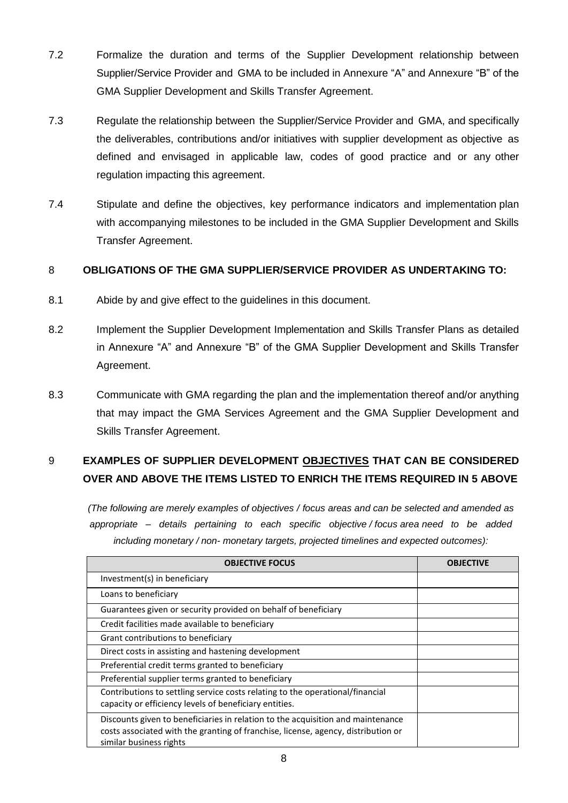- 7.2 Formalize the duration and terms of the Supplier Development relationship between Supplier/Service Provider and GMA to be included in Annexure "A" and Annexure "B" of the GMA Supplier Development and Skills Transfer Agreement.
- 7.3 Regulate the relationship between the Supplier/Service Provider and GMA, and specifically the deliverables, contributions and/or initiatives with supplier development as objective as defined and envisaged in applicable law, codes of good practice and or any other regulation impacting this agreement.
- 7.4 Stipulate and define the objectives, key performance indicators and implementation plan with accompanying milestones to be included in the GMA Supplier Development and Skills Transfer Agreement.

### 8 **OBLIGATIONS OF THE GMA SUPPLIER/SERVICE PROVIDER AS UNDERTAKING TO:**

- 8.1 Abide by and give effect to the guidelines in this document.
- 8.2 Implement the Supplier Development Implementation and Skills Transfer Plans as detailed in Annexure "A" and Annexure "B" of the GMA Supplier Development and Skills Transfer Agreement.
- 8.3 Communicate with GMA regarding the plan and the implementation thereof and/or anything that may impact the GMA Services Agreement and the GMA Supplier Development and Skills Transfer Agreement.

## 9 **EXAMPLES OF SUPPLIER DEVELOPMENT OBJECTIVES THAT CAN BE CONSIDERED OVER AND ABOVE THE ITEMS LISTED TO ENRICH THE ITEMS REQUIRED IN 5 ABOVE**

*(The following are merely examples of objectives / focus areas and can be selected and amended as appropriate – details pertaining to each specific objective / focus area need to be added including monetary / non- monetary targets, projected timelines and expected outcomes):*

| <b>OBJECTIVE FOCUS</b>                                                                                                                                                                          | <b>OBJECTIVE</b> |
|-------------------------------------------------------------------------------------------------------------------------------------------------------------------------------------------------|------------------|
| Investment(s) in beneficiary                                                                                                                                                                    |                  |
| Loans to beneficiary                                                                                                                                                                            |                  |
| Guarantees given or security provided on behalf of beneficiary                                                                                                                                  |                  |
| Credit facilities made available to beneficiary                                                                                                                                                 |                  |
| Grant contributions to beneficiary                                                                                                                                                              |                  |
| Direct costs in assisting and hastening development                                                                                                                                             |                  |
| Preferential credit terms granted to beneficiary                                                                                                                                                |                  |
| Preferential supplier terms granted to beneficiary                                                                                                                                              |                  |
| Contributions to settling service costs relating to the operational/financial<br>capacity or efficiency levels of beneficiary entities.                                                         |                  |
| Discounts given to beneficiaries in relation to the acquisition and maintenance<br>costs associated with the granting of franchise, license, agency, distribution or<br>similar business rights |                  |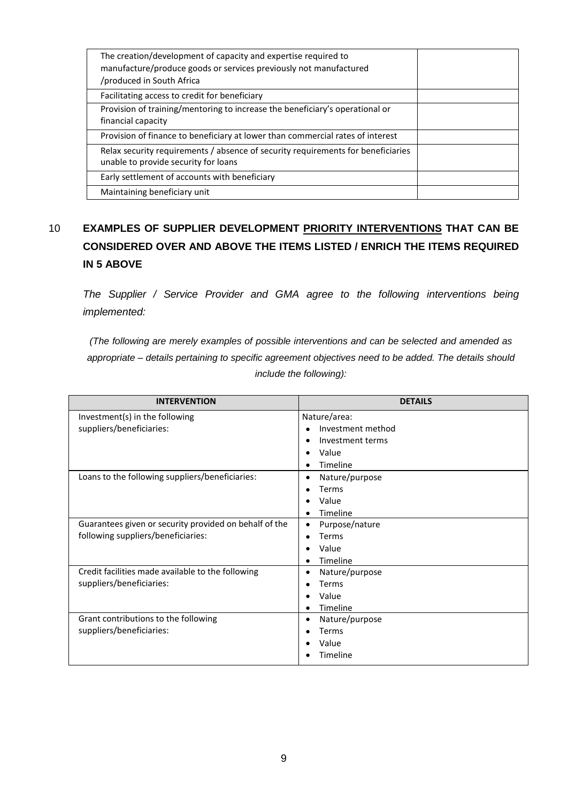| The creation/development of capacity and expertise required to<br>manufacture/produce goods or services previously not manufactured<br>/produced in South Africa |  |
|------------------------------------------------------------------------------------------------------------------------------------------------------------------|--|
| Facilitating access to credit for beneficiary                                                                                                                    |  |
| Provision of training/mentoring to increase the beneficiary's operational or<br>financial capacity                                                               |  |
| Provision of finance to beneficiary at lower than commercial rates of interest                                                                                   |  |
| Relax security requirements / absence of security requirements for beneficiaries<br>unable to provide security for loans                                         |  |
| Early settlement of accounts with beneficiary                                                                                                                    |  |
| Maintaining beneficiary unit                                                                                                                                     |  |

# 10 **EXAMPLES OF SUPPLIER DEVELOPMENT PRIORITY INTERVENTIONS THAT CAN BE CONSIDERED OVER AND ABOVE THE ITEMS LISTED / ENRICH THE ITEMS REQUIRED IN 5 ABOVE**

*The Supplier / Service Provider and GMA agree to the following interventions being implemented:*

*(The following are merely examples of possible interventions and can be selected and amended as appropriate – details pertaining to specific agreement objectives need to be added. The details should include the following):*

| <b>INTERVENTION</b>                                    | <b>DETAILS</b>              |
|--------------------------------------------------------|-----------------------------|
| Investment(s) in the following                         | Nature/area:                |
| suppliers/beneficiaries:                               | Investment method           |
|                                                        | Investment terms            |
|                                                        | Value                       |
|                                                        | Timeline                    |
| Loans to the following suppliers/beneficiaries:        | Nature/purpose              |
|                                                        | Terms                       |
|                                                        | Value                       |
|                                                        | Timeline                    |
| Guarantees given or security provided on behalf of the | Purpose/nature<br>$\bullet$ |
| following suppliers/beneficiaries:                     | Terms<br>$\bullet$          |
|                                                        | Value                       |
|                                                        | Timeline                    |
| Credit facilities made available to the following      | Nature/purpose<br>$\bullet$ |
| suppliers/beneficiaries:                               | Terms                       |
|                                                        | Value                       |
|                                                        | Timeline                    |
| Grant contributions to the following                   | Nature/purpose<br>$\bullet$ |
| suppliers/beneficiaries:                               | Terms                       |
|                                                        | Value                       |
|                                                        | Timeline                    |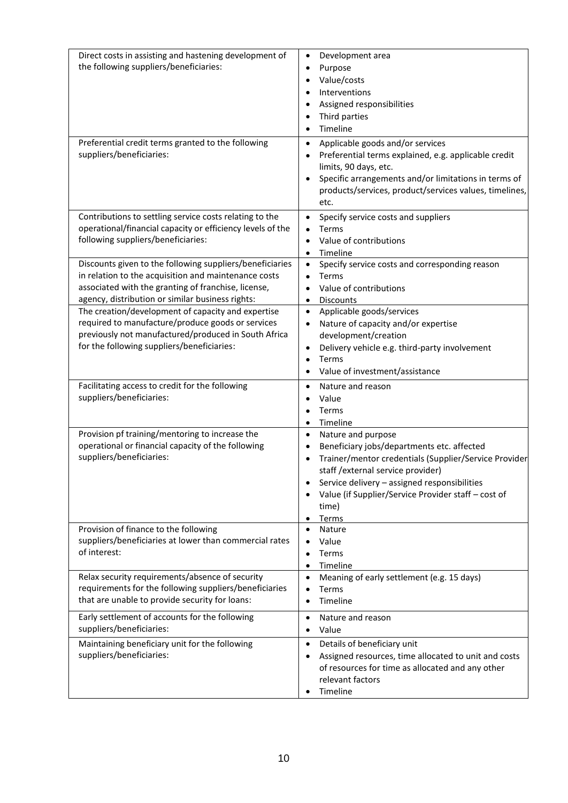| Direct costs in assisting and hastening development of<br>the following suppliers/beneficiaries:                                                                                                                            | Development area<br>$\bullet$<br>Purpose<br>$\bullet$<br>Value/costs<br>Interventions<br>Assigned responsibilities<br>Third parties<br>Timeline<br>$\bullet$                                                                                                                                                       |  |
|-----------------------------------------------------------------------------------------------------------------------------------------------------------------------------------------------------------------------------|--------------------------------------------------------------------------------------------------------------------------------------------------------------------------------------------------------------------------------------------------------------------------------------------------------------------|--|
| Preferential credit terms granted to the following<br>suppliers/beneficiaries:                                                                                                                                              | Applicable goods and/or services<br>$\bullet$<br>Preferential terms explained, e.g. applicable credit<br>limits, 90 days, etc.<br>Specific arrangements and/or limitations in terms of<br>products/services, product/services values, timelines,<br>etc.                                                           |  |
| Contributions to settling service costs relating to the<br>operational/financial capacity or efficiency levels of the<br>following suppliers/beneficiaries:                                                                 | Specify service costs and suppliers<br>$\bullet$<br>Terms<br>$\bullet$<br>Value of contributions<br>Timeline<br>$\bullet$                                                                                                                                                                                          |  |
| Discounts given to the following suppliers/beneficiaries<br>in relation to the acquisition and maintenance costs<br>associated with the granting of franchise, license,<br>agency, distribution or similar business rights: | Specify service costs and corresponding reason<br>$\bullet$<br>Terms<br>$\bullet$<br>Value of contributions<br><b>Discounts</b><br>$\bullet$                                                                                                                                                                       |  |
| The creation/development of capacity and expertise<br>required to manufacture/produce goods or services<br>previously not manufactured/produced in South Africa<br>for the following suppliers/beneficiaries:               | Applicable goods/services<br>$\bullet$<br>Nature of capacity and/or expertise<br>$\bullet$<br>development/creation<br>Delivery vehicle e.g. third-party involvement<br>$\bullet$<br>Terms<br>$\bullet$<br>Value of investment/assistance                                                                           |  |
| Facilitating access to credit for the following<br>suppliers/beneficiaries:                                                                                                                                                 | Nature and reason<br>$\bullet$<br>Value<br>$\bullet$<br>Terms<br>Timeline<br>$\bullet$                                                                                                                                                                                                                             |  |
| Provision pf training/mentoring to increase the<br>operational or financial capacity of the following<br>suppliers/beneficiaries:                                                                                           | Nature and purpose<br>$\bullet$<br>Beneficiary jobs/departments etc. affected<br>Trainer/mentor credentials (Supplier/Service Provider<br>staff / external service provider)<br>Service delivery - assigned responsibilities<br>Value (if Supplier/Service Provider staff - cost of<br>time)<br>Terms<br>$\bullet$ |  |
| Provision of finance to the following<br>suppliers/beneficiaries at lower than commercial rates<br>of interest:                                                                                                             | Nature<br>$\bullet$<br>Value<br>$\bullet$<br>Terms<br>$\bullet$<br>Timeline<br>$\bullet$                                                                                                                                                                                                                           |  |
| Relax security requirements/absence of security<br>requirements for the following suppliers/beneficiaries<br>that are unable to provide security for loans:                                                                 | Meaning of early settlement (e.g. 15 days)<br>$\bullet$<br>Terms<br>$\bullet$<br>Timeline<br>$\bullet$                                                                                                                                                                                                             |  |
| Early settlement of accounts for the following<br>suppliers/beneficiaries:                                                                                                                                                  | Nature and reason<br>$\bullet$<br>Value                                                                                                                                                                                                                                                                            |  |
| Maintaining beneficiary unit for the following<br>suppliers/beneficiaries:                                                                                                                                                  | Details of beneficiary unit<br>$\bullet$<br>Assigned resources, time allocated to unit and costs<br>$\bullet$<br>of resources for time as allocated and any other<br>relevant factors<br>Timeline                                                                                                                  |  |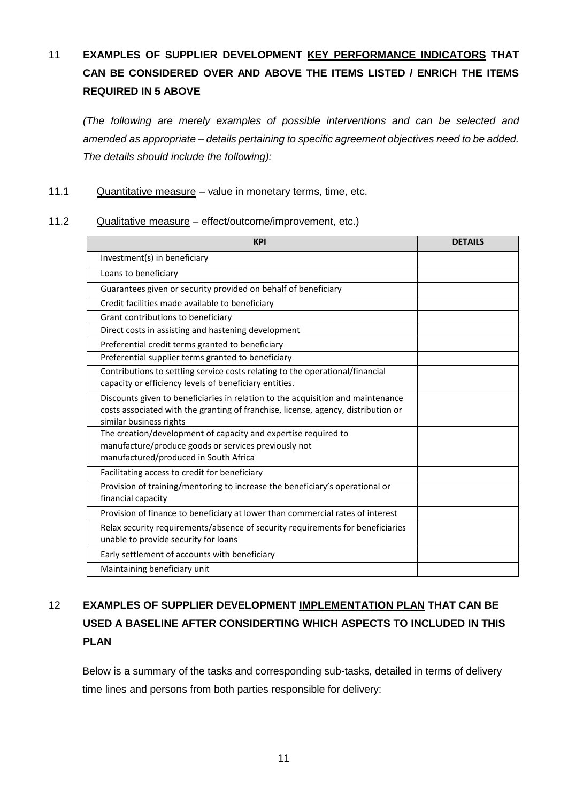# 11 **EXAMPLES OF SUPPLIER DEVELOPMENT KEY PERFORMANCE INDICATORS THAT CAN BE CONSIDERED OVER AND ABOVE THE ITEMS LISTED / ENRICH THE ITEMS REQUIRED IN 5 ABOVE**

*(The following are merely examples of possible interventions and can be selected and amended as appropriate – details pertaining to specific agreement objectives need to be added. The details should include the following):*

### 11.1 Quantitative measure – value in monetary terms, time, etc.

#### 11.2 Qualitative measure – effect/outcome/improvement, etc.)

| <b>KPI</b>                                                                                                                                                                                      | <b>DETAILS</b> |
|-------------------------------------------------------------------------------------------------------------------------------------------------------------------------------------------------|----------------|
| Investment(s) in beneficiary                                                                                                                                                                    |                |
| Loans to beneficiary                                                                                                                                                                            |                |
| Guarantees given or security provided on behalf of beneficiary                                                                                                                                  |                |
| Credit facilities made available to beneficiary                                                                                                                                                 |                |
| Grant contributions to beneficiary                                                                                                                                                              |                |
| Direct costs in assisting and hastening development                                                                                                                                             |                |
| Preferential credit terms granted to beneficiary                                                                                                                                                |                |
| Preferential supplier terms granted to beneficiary                                                                                                                                              |                |
| Contributions to settling service costs relating to the operational/financial<br>capacity or efficiency levels of beneficiary entities.                                                         |                |
| Discounts given to beneficiaries in relation to the acquisition and maintenance<br>costs associated with the granting of franchise, license, agency, distribution or<br>similar business rights |                |
| The creation/development of capacity and expertise required to<br>manufacture/produce goods or services previously not<br>manufactured/produced in South Africa                                 |                |
| Facilitating access to credit for beneficiary                                                                                                                                                   |                |
| Provision of training/mentoring to increase the beneficiary's operational or<br>financial capacity                                                                                              |                |
| Provision of finance to beneficiary at lower than commercial rates of interest                                                                                                                  |                |
| Relax security requirements/absence of security requirements for beneficiaries<br>unable to provide security for loans                                                                          |                |
| Early settlement of accounts with beneficiary                                                                                                                                                   |                |
| Maintaining beneficiary unit                                                                                                                                                                    |                |

# 12 **EXAMPLES OF SUPPLIER DEVELOPMENT IMPLEMENTATION PLAN THAT CAN BE USED A BASELINE AFTER CONSIDERTING WHICH ASPECTS TO INCLUDED IN THIS PLAN**

Below is a summary of the tasks and corresponding sub-tasks, detailed in terms of delivery time lines and persons from both parties responsible for delivery: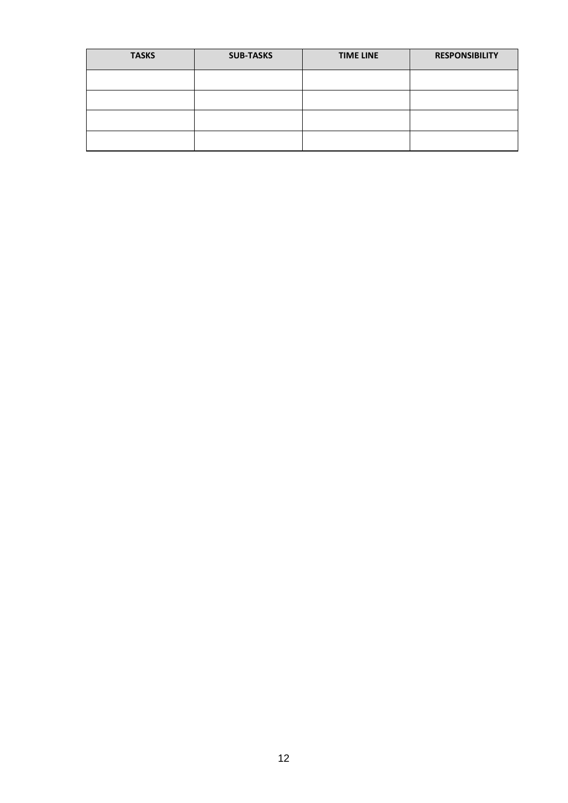| <b>TASKS</b> | <b>SUB-TASKS</b> | <b>TIME LINE</b> | <b>RESPONSIBILITY</b> |
|--------------|------------------|------------------|-----------------------|
|              |                  |                  |                       |
|              |                  |                  |                       |
|              |                  |                  |                       |
|              |                  |                  |                       |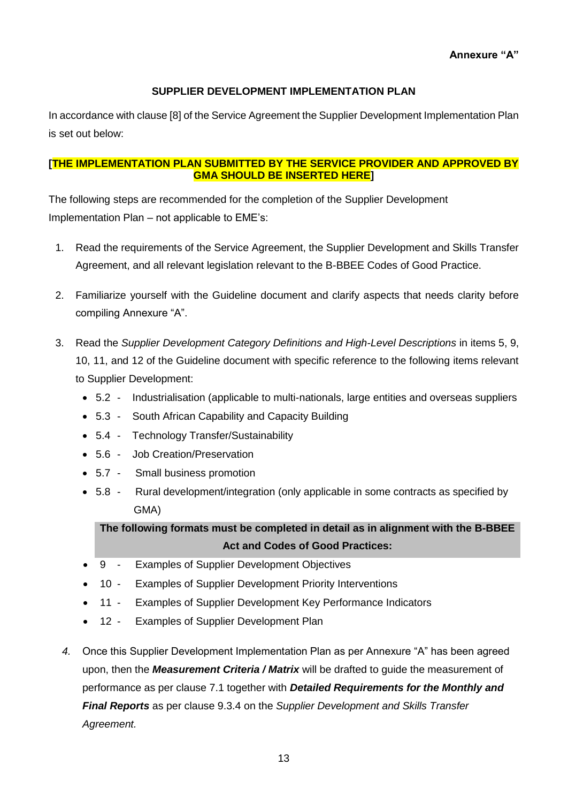### **SUPPLIER DEVELOPMENT IMPLEMENTATION PLAN**

In accordance with clause [8] of the Service Agreement the Supplier Development Implementation Plan is set out below:

### **[THE IMPLEMENTATION PLAN SUBMITTED BY THE SERVICE PROVIDER AND APPROVED BY GMA SHOULD BE INSERTED HERE]**

The following steps are recommended for the completion of the Supplier Development Implementation Plan – not applicable to EME's:

- 1. Read the requirements of the Service Agreement, the Supplier Development and Skills Transfer Agreement, and all relevant legislation relevant to the B-BBEE Codes of Good Practice.
- 2. Familiarize yourself with the Guideline document and clarify aspects that needs clarity before compiling Annexure "A".
- 3. Read the *Supplier Development Category Definitions and High-Level Descriptions* in items 5, 9, 10, 11, and 12 of the Guideline document with specific reference to the following items relevant to Supplier Development:
	- 5.2 Industrialisation (applicable to multi-nationals, large entities and overseas suppliers
	- 5.3 South African Capability and Capacity Building
	- 5.4 Technology Transfer/Sustainability
	- 5.6 Job Creation/Preservation
	- 5.7 Small business promotion
	- 5.8 Rural development/integration (only applicable in some contracts as specified by GMA)

**The following formats must be completed in detail as in alignment with the B-BBEE Act and Codes of Good Practices:**

- 9 Examples of Supplier Development Objectives
- 10 Examples of Supplier Development Priority Interventions
- 11 Examples of Supplier Development Key Performance Indicators
- 12 Examples of Supplier Development Plan
- *4.* Once this Supplier Development Implementation Plan as per Annexure "A" has been agreed upon, then the *Measurement Criteria / Matrix* will be drafted to guide the measurement of performance as per clause 7.1 together with *Detailed Requirements for the Monthly and Final Reports* as per clause 9.3.4 on the *Supplier Development and Skills Transfer Agreement.*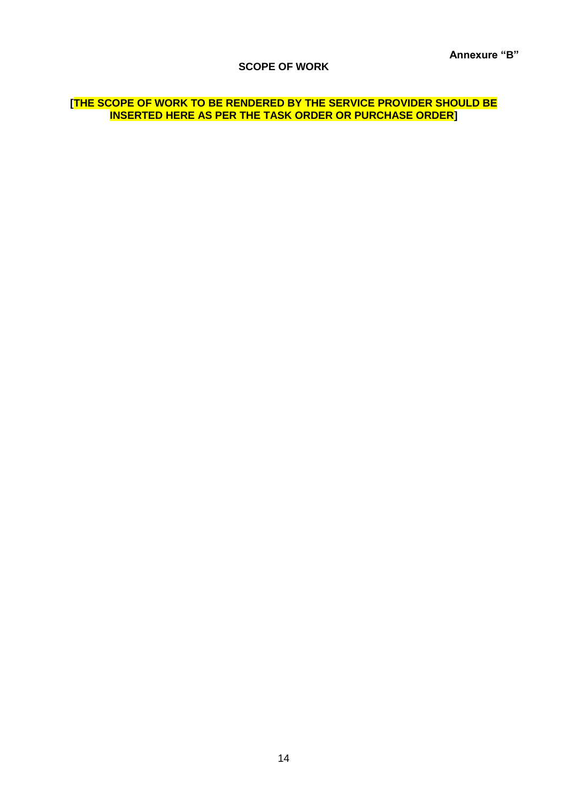#### **SCOPE OF WORK**

### **[THE SCOPE OF WORK TO BE RENDERED BY THE SERVICE PROVIDER SHOULD BE INSERTED HERE AS PER THE TASK ORDER OR PURCHASE ORDER]**